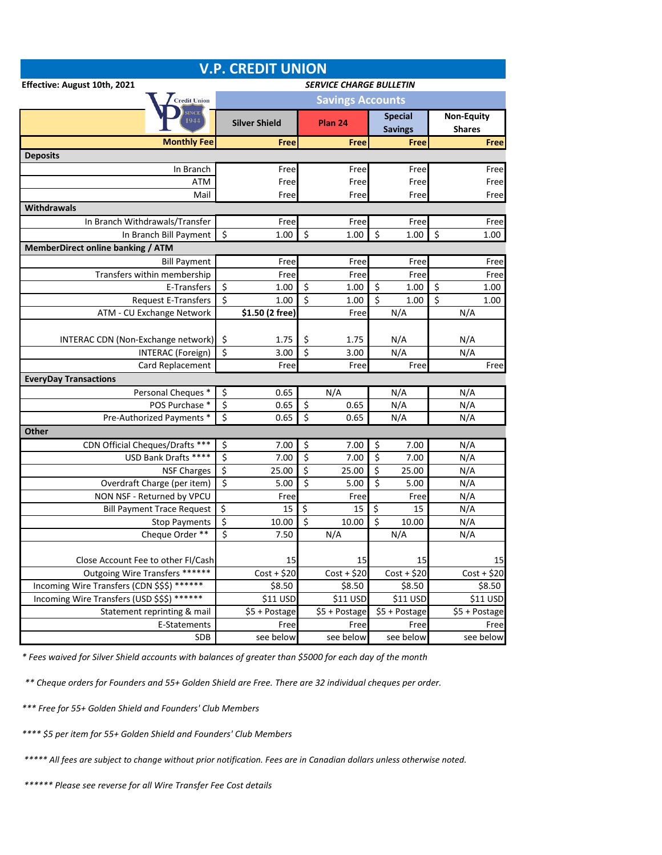| <b>V.P. CREDIT UNION</b>                                |                                       |                      |                                 |               |                                  |               |                                    |               |  |  |  |  |
|---------------------------------------------------------|---------------------------------------|----------------------|---------------------------------|---------------|----------------------------------|---------------|------------------------------------|---------------|--|--|--|--|
| Effective: August 10th, 2021                            | <b>SERVICE CHARGE BULLETIN</b>        |                      |                                 |               |                                  |               |                                    |               |  |  |  |  |
| <b>Credit Union</b>                                     | <b>Savings Accounts</b>               |                      |                                 |               |                                  |               |                                    |               |  |  |  |  |
| 944                                                     |                                       | <b>Silver Shield</b> |                                 | Plan 24       | <b>Special</b><br><b>Savings</b> |               | <b>Non-Equity</b><br><b>Shares</b> |               |  |  |  |  |
| <b>Monthly Fee</b>                                      |                                       | <b>Free</b>          |                                 | Free          |                                  | Free          |                                    | <b>Free</b>   |  |  |  |  |
| <b>Deposits</b>                                         |                                       |                      |                                 |               |                                  |               |                                    |               |  |  |  |  |
| In Branch                                               |                                       | Free                 |                                 | Free          |                                  | Free          |                                    | Free          |  |  |  |  |
| ATM                                                     |                                       | Free                 |                                 | Free          |                                  | Free          |                                    | Free          |  |  |  |  |
| Mail                                                    |                                       | Free                 |                                 | Free          |                                  | Free          |                                    | Free          |  |  |  |  |
| <b>Withdrawals</b>                                      |                                       |                      |                                 |               |                                  |               |                                    |               |  |  |  |  |
| In Branch Withdrawals/Transfer                          |                                       | Free                 |                                 | Free          |                                  | Free          |                                    | Free          |  |  |  |  |
| In Branch Bill Payment                                  | $\overline{\mathcal{S}}$              | 1.00                 | $\overline{\boldsymbol{\zeta}}$ | 1.00          | \$                               | 1.00          | $\overline{\mathcal{S}}$           | 1.00          |  |  |  |  |
| <b>MemberDirect online banking / ATM</b>                |                                       |                      |                                 |               |                                  |               |                                    |               |  |  |  |  |
| <b>Bill Payment</b>                                     |                                       | Free                 |                                 | Free          |                                  | Free          |                                    | Free          |  |  |  |  |
| Transfers within membership                             |                                       | Free                 |                                 | Free          |                                  | Free          |                                    | Free          |  |  |  |  |
| E-Transfers                                             | \$                                    | 1.00                 | \$                              | 1.00          | \$                               | 1.00          | \$                                 | 1.00          |  |  |  |  |
| <b>Request E-Transfers</b>                              | \$                                    | 1.00                 | $\overline{\xi}$                | 1.00          | \$                               | 1.00          | \$                                 | 1.00          |  |  |  |  |
| ATM - CU Exchange Network                               |                                       | \$1.50 (2 free)      |                                 | Free          |                                  | N/A           | N/A                                |               |  |  |  |  |
|                                                         |                                       |                      |                                 |               |                                  |               |                                    |               |  |  |  |  |
| INTERAC CDN (Non-Exchange network)                      | \$                                    | 1.75                 | \$                              | 1.75          |                                  | N/A           | N/A                                |               |  |  |  |  |
| <b>INTERAC</b> (Foreign)                                | \$                                    | 3.00                 | \$                              | 3.00          |                                  | N/A           | N/A                                |               |  |  |  |  |
| Card Replacement                                        |                                       | Free                 |                                 | Free          |                                  | Free          |                                    | Free          |  |  |  |  |
| <b>EveryDay Transactions</b>                            |                                       |                      |                                 |               |                                  |               |                                    |               |  |  |  |  |
| Personal Cheques *                                      | \$                                    | 0.65                 |                                 | N/A           |                                  | N/A           | N/A                                |               |  |  |  |  |
| POS Purchase *                                          | \$                                    | 0.65                 | \$                              | 0.65          |                                  | N/A           | N/A                                |               |  |  |  |  |
| Pre-Authorized Payments *                               | $\overline{\mathbf{S}}$               | 0.65                 | $\overline{\xi}$                | 0.65          |                                  | N/A           | N/A                                |               |  |  |  |  |
| <b>Other</b>                                            |                                       |                      |                                 |               |                                  |               |                                    |               |  |  |  |  |
| CDN Official Cheques/Drafts ***<br>USD Bank Drafts **** | \$<br>$\overline{\boldsymbol{\zeta}}$ | 7.00                 | \$<br>$\overline{\xi}$          | 7.00          | \$<br>$\overline{\xi}$           | 7.00          | N/A                                |               |  |  |  |  |
|                                                         | \$                                    | 7.00                 | \$                              | 7.00          | $\overline{\xi}$                 | 7.00          | N/A<br>N/A                         |               |  |  |  |  |
| <b>NSF Charges</b><br>Overdraft Charge (per item)       | $\overline{\xi}$                      | 25.00<br>5.00        | $\overline{\xi}$                | 25.00<br>5.00 | $\overline{\mathcal{S}}$         | 25.00<br>5.00 | N/A                                |               |  |  |  |  |
| NON NSF - Returned by VPCU                              |                                       | Free                 |                                 | Free          |                                  | Free          | N/A                                |               |  |  |  |  |
| <b>Bill Payment Trace Request</b>                       | $\overline{\mathcal{S}}$              | 15                   | $\overline{\mathcal{S}}$        | 15            | \$                               | 15            | N/A                                |               |  |  |  |  |
| <b>Stop Payments</b>                                    | $\overline{\xi}$                      | 10.00                | $\overline{\mathsf{S}}$         | 10.00         | $\overline{\xi}$                 | 10.00         | N/A                                |               |  |  |  |  |
| Cheque Order **                                         | $\overline{\boldsymbol{\zeta}}$       | 7.50                 |                                 | N/A           |                                  | N/A           | N/A                                |               |  |  |  |  |
|                                                         |                                       |                      |                                 |               |                                  |               |                                    |               |  |  |  |  |
| Close Account Fee to other FI/Cash                      |                                       | 15                   |                                 | 15            |                                  | 15            |                                    | 15            |  |  |  |  |
| Outgoing Wire Transfers ******                          |                                       | $Cost + $20$         |                                 | $Cost + $20$  |                                  | $Cost + $20$  |                                    | $Cost + $20$  |  |  |  |  |
| Incoming Wire Transfers (CDN \$\$\$) ******             |                                       | \$8.50               |                                 | \$8.50        |                                  | \$8.50        |                                    | \$8.50        |  |  |  |  |
| Incoming Wire Transfers (USD \$\$\$) ******             |                                       | \$11 USD             |                                 | \$11 USD      |                                  | \$11 USD      |                                    | \$11 USD      |  |  |  |  |
| Statement reprinting & mail                             |                                       | \$5 + Postage        |                                 | \$5 + Postage |                                  | \$5 + Postage |                                    | \$5 + Postage |  |  |  |  |
| E-Statements                                            |                                       | Free                 |                                 | Free          |                                  | Free          |                                    | Free          |  |  |  |  |
| <b>SDB</b>                                              |                                       | see below            |                                 | see below     |                                  | see below     |                                    | see below     |  |  |  |  |

*\* Fees waived for Silver Shield accounts with balances of greater than \$5000 for each day of the month*

*\*\* Cheque orders for Founders and 55+ Golden Shield are Free. There are 32 individual cheques per order.*

*\*\*\* Free for 55+ Golden Shield and Founders' Club Members*

*\*\*\*\* \$5 per item for 55+ Golden Shield and Founders' Club Members*

 *\*\*\*\*\* All fees are subject to change without prior notification. Fees are in Canadian dollars unless otherwise noted.*

 *\*\*\*\*\*\* Please see reverse for all Wire Transfer Fee Cost details*